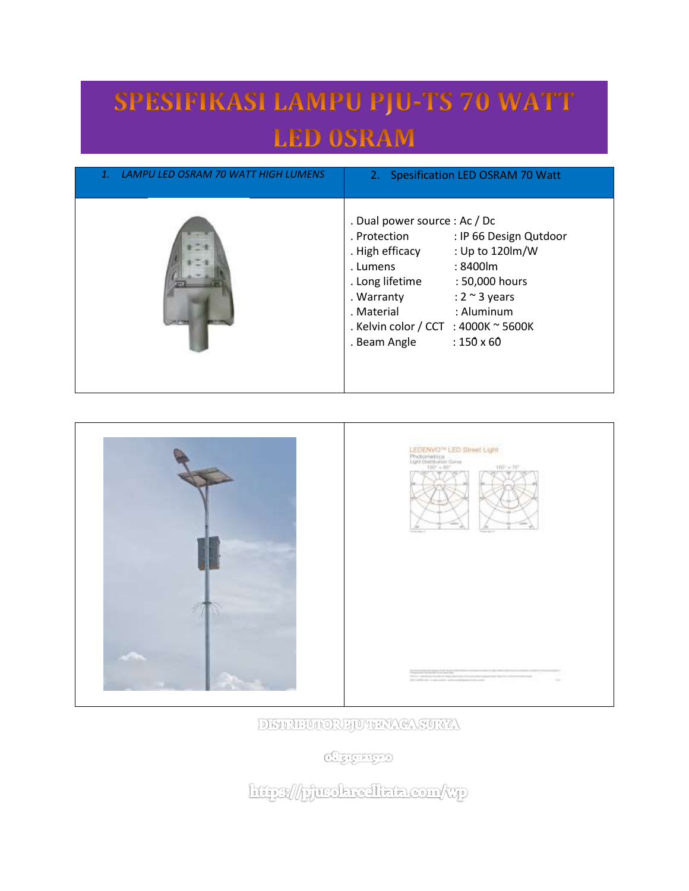## SPESIFIKASI LAMPU PJU-TS 70 WATT **LED OSRAM**

| LAMPU LED OSRAM 70 WATT HIGH LUMENS<br>1. | 2. Spesification LED OSRAM 70 Watt                                                                                                                                                                                                                                                                                            |
|-------------------------------------------|-------------------------------------------------------------------------------------------------------------------------------------------------------------------------------------------------------------------------------------------------------------------------------------------------------------------------------|
|                                           | . Dual power source : Ac / Dc<br>. Protection<br>: IP 66 Design Qutdoor<br>: Up to 120lm/W<br>. High efficacy<br>: 8400 lm<br>. Lumens<br>. Long lifetime<br>: 50,000 hours<br>: $2 \sim 3$ years<br>. Warranty<br>$:$ Aluminum<br>. Material<br>. Kelvin color / CCT : 4000K $\sim$ 5600K<br>$:150\times 60$<br>. Beam Angle |





DISTRIBUTORE JUTHAY CASURYA

**CHEICHTED** 

http://pjurokreallata.com/wp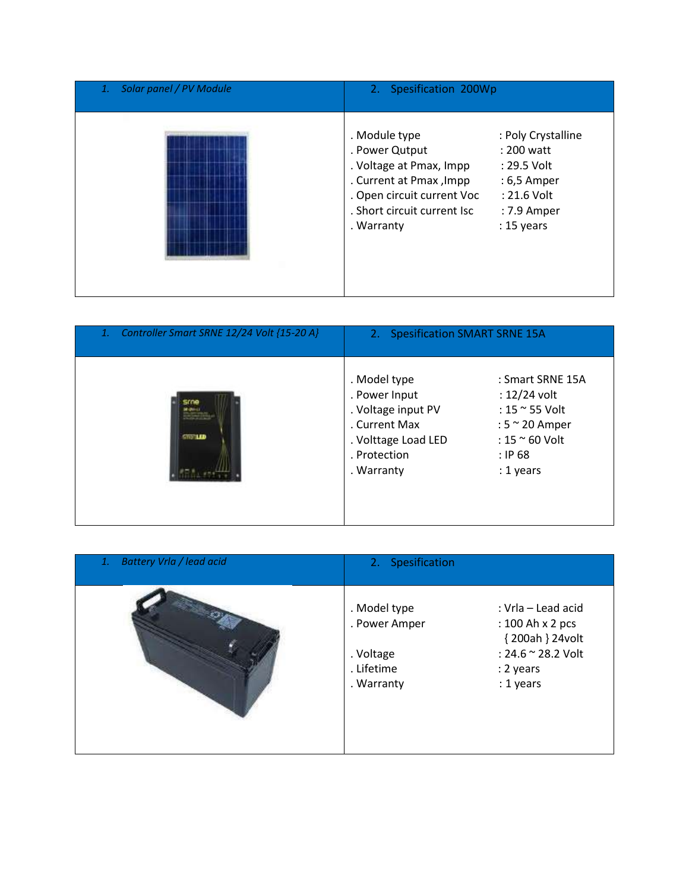| Solar panel / PV Module<br>1. | 2. Spesification 200Wp                                                                                                                                                                                                                                                           |  |
|-------------------------------|----------------------------------------------------------------------------------------------------------------------------------------------------------------------------------------------------------------------------------------------------------------------------------|--|
|                               | . Module type<br>: Poly Crystalline<br>. Power Qutput<br>: 200 watt<br>. Voltage at Pmax, Impp<br>: 29.5 Volt<br>. Current at Pmax, Impp<br>: 6,5 Amper<br>. Open circuit current Voc<br>: 21.6 Volt<br>. Short circuit current Isc<br>: 7.9 Amper<br>$: 15$ years<br>. Warranty |  |

| Controller Smart SRNE 12/24 Volt {15-20 A}<br>1. | 2. Spesification SMART SRNE 15A                                                                                           |                                                                                                                                              |
|--------------------------------------------------|---------------------------------------------------------------------------------------------------------------------------|----------------------------------------------------------------------------------------------------------------------------------------------|
| <b>STORIED</b>                                   | . Model type<br>. Power Input<br>. Voltage input PV<br>. Current Max<br>. Volttage Load LED<br>. Protection<br>. Warranty | : Smart SRNE 15A<br>$: 12/24$ volt<br>: 15 $\approx$ 55 Volt<br>: $5 \approx 20$ Amper<br>$: 15 \approx 60$ Volt<br>$:$ IP 68<br>$: 1$ years |

| Battery Vrla / lead acid<br>1. | 2. Spesification                                                                                                                                                                    |
|--------------------------------|-------------------------------------------------------------------------------------------------------------------------------------------------------------------------------------|
|                                | . Model type<br>: Vrla – Lead acid<br>. Power Amper<br>: 100 Ah x 2 pcs<br>{200ah } 24volt<br>: 24.6 ~ 28.2 Volt<br>. Voltage<br>. Lifetime<br>: 2 years<br>: 1 years<br>. Warranty |